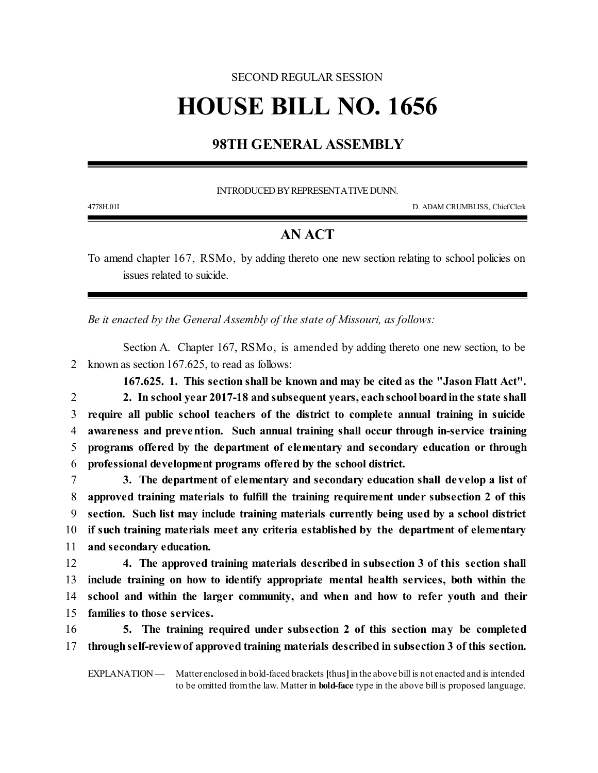## SECOND REGULAR SESSION **HOUSE BILL NO. 1656**

## **98TH GENERAL ASSEMBLY**

INTRODUCED BYREPRESENTATIVEDUNN.

4778H.01I D. ADAM CRUMBLISS, ChiefClerk

## **AN ACT**

To amend chapter 167, RSMo, by adding thereto one new section relating to school policies on issues related to suicide.

*Be it enacted by the General Assembly of the state of Missouri, as follows:*

Section A. Chapter 167, RSMo, is amended by adding thereto one new section, to be 2 known as section 167.625, to read as follows:

**167.625. 1. This section shall be known and may be cited as the "Jason Flatt Act". 2. In school year 2017-18 and subsequent years, eachschool boardinthe state shall require all public school teachers of the district to complete annual training in suicide awareness and prevention. Such annual training shall occur through in-service training programs offered by the department of elementary and secondary education or through**

6 **professional development programs offered by the school district.**

 **3. The department of elementary and secondary education shall develop a list of approved training materials to fulfill the training requirement under subsection 2 of this section. Such list may include training materials currently being used by a school district if such training materials meet any criteria established by the department of elementary and secondary education.**

 **4. The approved training materials described in subsection 3 of this section shall include training on how to identify appropriate mental health services, both within the school and within the larger community, and when and how to refer youth and their families to those services.**

16 **5. The training required under subsection 2 of this section may be completed** 17 **throughself-reviewof approved training materials described in subsection 3 of this section.**

EXPLANATION — Matter enclosed in bold-faced brackets **[**thus**]**in the above bill is not enacted and is intended to be omitted fromthe law. Matter in **bold-face** type in the above bill is proposed language.